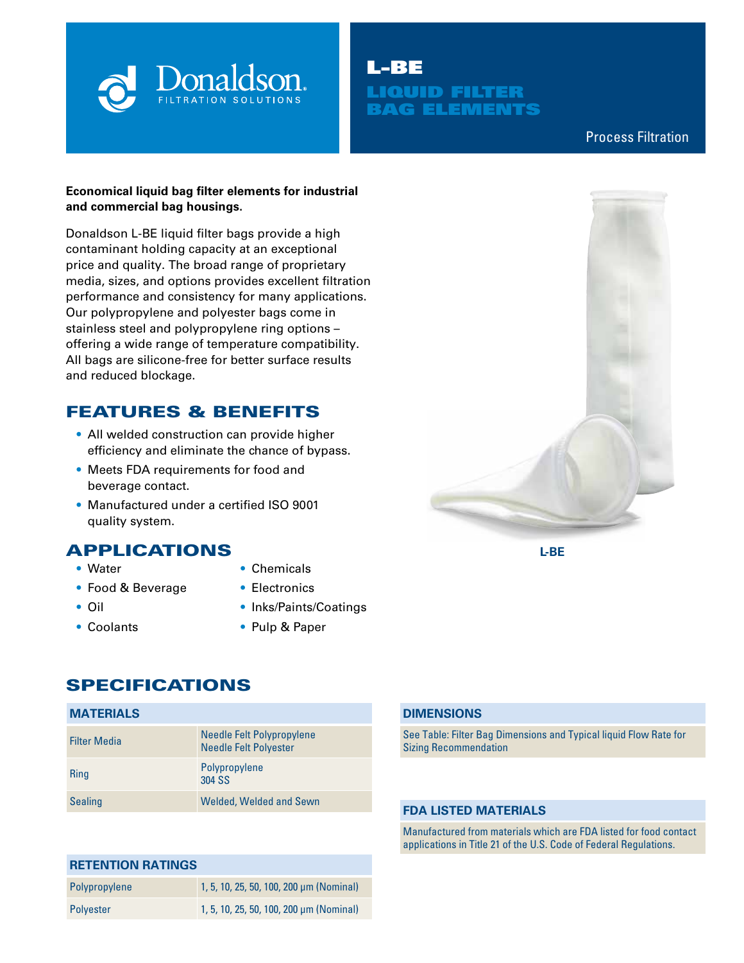

# L-BE LIQUID FILTER BAG ELEMENTS

# Process Filtration

### **Economical liquid bag filter elements for industrial and commercial bag housings.**

Donaldson L-BE liquid filter bags provide a high contaminant holding capacity at an exceptional price and quality. The broad range of proprietary media, sizes, and options provides excellent filtration performance and consistency for many applications. Our polypropylene and polyester bags come in stainless steel and polypropylene ring options – offering a wide range of temperature compatibility. All bags are silicone-free for better surface results and reduced blockage.

# FEATURES & BENEFITS

- All welded construction can provide higher efficiency and eliminate the chance of bypass.
- Meets FDA requirements for food and beverage contact.
- Manufactured under a certified ISO 9001 quality system.

# APPLICATIONS

- Water
- Food & Beverage
- Oil
- Coolants
- Chemicals
- Electronics
- Inks/Paints/Coatings
- Pulp & Paper

# SPECIFICATIONS

# **MATERIALS**

| <b>Filter Media</b> | Needle Felt Polypropylene<br><b>Needle Felt Polyester</b> |
|---------------------|-----------------------------------------------------------|
| <b>Ring</b>         | Polypropylene<br>304 SS                                   |
| <b>Sealing</b>      | <b>Welded, Welded and Sewn</b>                            |

# **RETENTION RATINGS**

| Polypropylene | 1, 5, 10, 25, 50, 100, 200 µm (Nominal) |
|---------------|-----------------------------------------|
| Polyester     | 1, 5, 10, 25, 50, 100, 200 µm (Nominal) |



**L-BE**

### **DIMENSIONS**

See Table: Filter Bag Dimensions and Typical liquid Flow Rate for Sizing Recommendation

#### **FDA LISTED MATERIALS**

Manufactured from materials which are FDA listed for food contact applications in Title 21 of the U.S. Code of Federal Regulations.